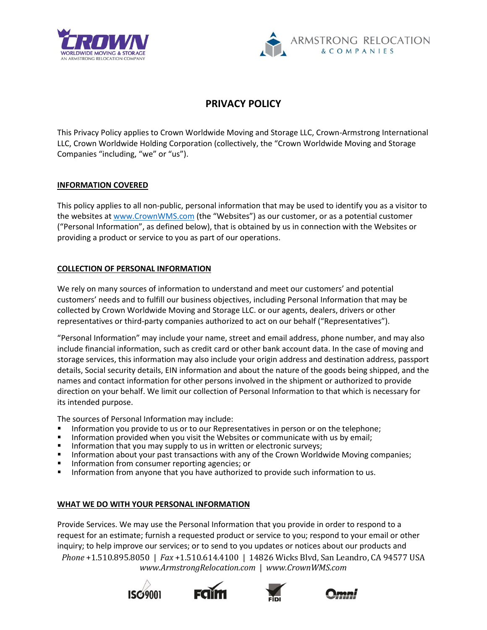



# **PRIVACY POLICY**

This Privacy Policy applies to Crown Worldwide Moving and Storage LLC, Crown-Armstrong International LLC, Crown Worldwide Holding Corporation (collectively, the "Crown Worldwide Moving and Storage Companies "including, "we" or "us").

## **INFORMATION COVERED**

This policy applies to all non-public, personal information that may be used to identify you as a visitor to the websites a[t www.CrownWMS.com](http://www.crownwms.com/) (the "Websites") as our customer, or as a potential customer ("Personal Information", as defined below), that is obtained by us in connection with the Websites or providing a product or service to you as part of our operations.

# **COLLECTION OF PERSONAL INFORMATION**

We rely on many sources of information to understand and meet our customers' and potential customers' needs and to fulfill our business objectives, including Personal Information that may be collected by Crown Worldwide Moving and Storage LLC. or our agents, dealers, drivers or other representatives or third-party companies authorized to act on our behalf ("Representatives").

"Personal Information" may include your name, street and email address, phone number, and may also include financial information, such as credit card or other bank account data. In the case of moving and storage services, this information may also include your origin address and destination address, passport details, Social security details, EIN information and about the nature of the goods being shipped, and the names and contact information for other persons involved in the shipment or authorized to provide direction on your behalf. We limit our collection of Personal Information to that which is necessary for its intended purpose.

The sources of Personal Information may include:

- Information you provide to us or to our Representatives in person or on the telephone;
- Information provided when you visit the Websites or communicate with us by email;
- Information that you may supply to us in written or electronic surveys;<br>■ Information about your past transactions with any of the Crown World
- Information about your past transactions with any of the Crown Worldwide Moving companies;
- Information from consumer reporting agencies; or
- Information from anyone that you have authorized to provide such information to us.

## **WHAT WE DO WITH YOUR PERSONAL INFORMATION**

*Phone* +1.510.895.8050 | *Fax* +1.510.614.4100 | 14826 Wicks Blvd, San Leandro, CA 94577 USA *www.ArmstrongRelocation.com* | *www.CrownWMS.com*  Provide Services. We may use the Personal Information that you provide in order to respond to a request for an estimate; furnish a requested product or service to you; respond to your email or other inquiry; to help improve our services; or to send to you updates or notices about our products and







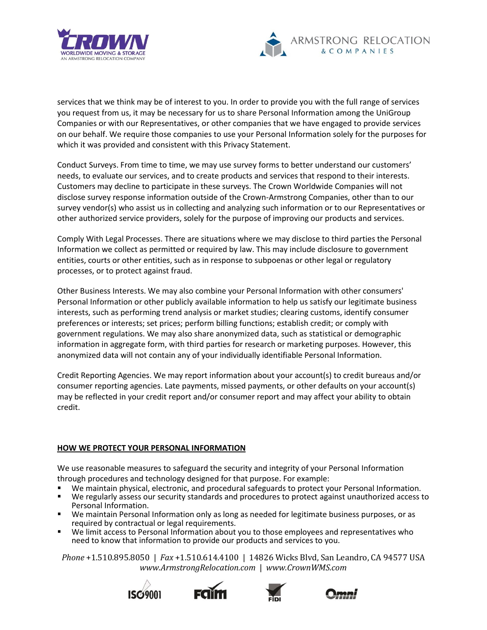



services that we think may be of interest to you. In order to provide you with the full range of services you request from us, it may be necessary for us to share Personal Information among the UniGroup Companies or with our Representatives, or other companies that we have engaged to provide services on our behalf. We require those companies to use your Personal Information solely for the purposes for which it was provided and consistent with this Privacy Statement.

Conduct Surveys. From time to time, we may use survey forms to better understand our customers' needs, to evaluate our services, and to create products and services that respond to their interests. Customers may decline to participate in these surveys. The Crown Worldwide Companies will not disclose survey response information outside of the Crown-Armstrong Companies, other than to our survey vendor(s) who assist us in collecting and analyzing such information or to our Representatives or other authorized service providers, solely for the purpose of improving our products and services.

Comply With Legal Processes. There are situations where we may disclose to third parties the Personal Information we collect as permitted or required by law. This may include disclosure to government entities, courts or other entities, such as in response to subpoenas or other legal or regulatory processes, or to protect against fraud.

Other Business Interests. We may also combine your Personal Information with other consumers' Personal Information or other publicly available information to help us satisfy our legitimate business interests, such as performing trend analysis or market studies; clearing customs, identify consumer preferences or interests; set prices; perform billing functions; establish credit; or comply with government regulations. We may also share anonymized data, such as statistical or demographic information in aggregate form, with third parties for research or marketing purposes. However, this anonymized data will not contain any of your individually identifiable Personal Information.

Credit Reporting Agencies. We may report information about your account(s) to credit bureaus and/or consumer reporting agencies. Late payments, missed payments, or other defaults on your account(s) may be reflected in your credit report and/or consumer report and may affect your ability to obtain credit.

## **HOW WE PROTECT YOUR PERSONAL INFORMATION**

We use reasonable measures to safeguard the security and integrity of your Personal Information through procedures and technology designed for that purpose. For example:

- We maintain physical, electronic, and procedural safeguards to protect your Personal Information.
- We regularly assess our security standards and procedures to protect against unauthorized access to Personal Information.
- We maintain Personal Information only as long as needed for legitimate business purposes, or as required by contractual or legal requirements.
- We limit access to Personal Information about you to those employees and representatives who need to know that information to provide our products and services to you.







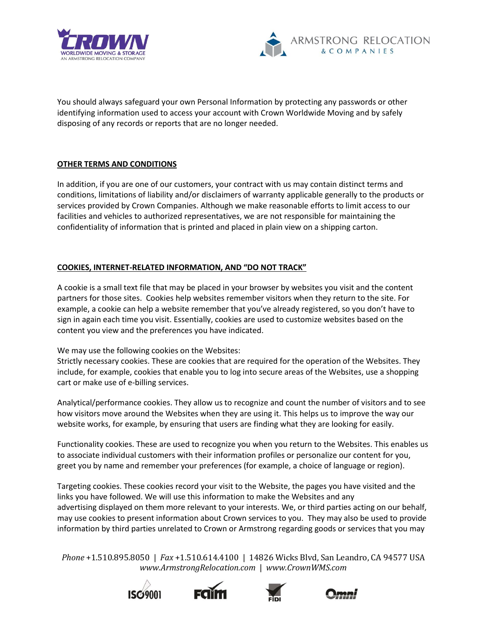



You should always safeguard your own Personal Information by protecting any passwords or other identifying information used to access your account with Crown Worldwide Moving and by safely disposing of any records or reports that are no longer needed.

# **OTHER TERMS AND CONDITIONS**

In addition, if you are one of our customers, your contract with us may contain distinct terms and conditions, limitations of liability and/or disclaimers of warranty applicable generally to the products or services provided by Crown Companies. Although we make reasonable efforts to limit access to our facilities and vehicles to authorized representatives, we are not responsible for maintaining the confidentiality of information that is printed and placed in plain view on a shipping carton.

# **COOKIES, INTERNET-RELATED INFORMATION, AND "DO NOT TRACK"**

A cookie is a small text file that may be placed in your browser by websites you visit and the content partners for those sites. Cookies help websites remember visitors when they return to the site. For example, a cookie can help a website remember that you've already registered, so you don't have to sign in again each time you visit. Essentially, cookies are used to customize websites based on the content you view and the preferences you have indicated.

We may use the following cookies on the Websites:

Strictly necessary cookies. These are cookies that are required for the operation of the Websites. They include, for example, cookies that enable you to log into secure areas of the Websites, use a shopping cart or make use of e-billing services.

Analytical/performance cookies. They allow us to recognize and count the number of visitors and to see how visitors move around the Websites when they are using it. This helps us to improve the way our website works, for example, by ensuring that users are finding what they are looking for easily.

Functionality cookies. These are used to recognize you when you return to the Websites. This enables us to associate individual customers with their information profiles or personalize our content for you, greet you by name and remember your preferences (for example, a choice of language or region).

Targeting cookies. These cookies record your visit to the Website, the pages you have visited and the links you have followed. We will use this information to make the Websites and any advertising displayed on them more relevant to your interests. We, or third parties acting on our behalf, may use cookies to present information about Crown services to you. They may also be used to provide information by third parties unrelated to Crown or Armstrong regarding goods or services that you may







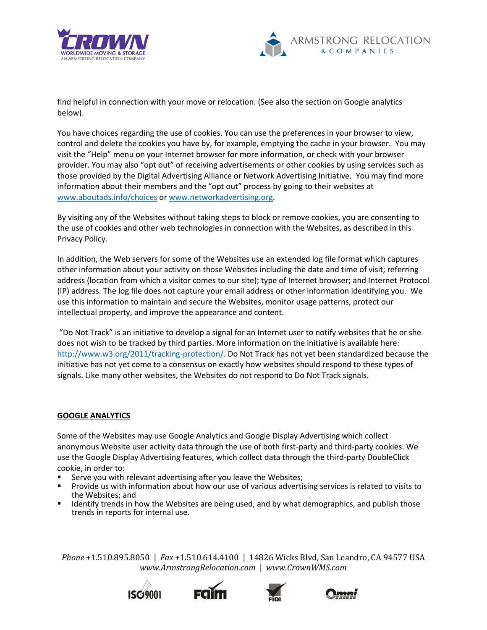



find helpful in connection with your move or relocation. (See also the section on Google analytics below).

You have choices regarding the use of cookies. You can use the preferences in your browser to view, control and delete the cookies you have by, for example, emptying the cache in your browser. You may visit the "Help" menu on your Internet browser for more information, or check with your browser provider. You may also "opt out" of receiving advertisements or other cookies by using services such as those provided by the Digital Advertising Alliance or Network Advertising Initiative. You may find more information about their members and the "opt out" process by going to their websites at [www.aboutads.info/choices](http://www.aboutads.info/choices) o[r www.networkadvertising.org.](http://www.networkadvertising.org/)

By visiting any of the Websites without taking steps to block or remove cookies, you are consenting to the use of cookies and other web technologies in connection with the Websites, as described in this Privacy Policy.

In addition, the Web servers for some of the Websites use an extended log file format which captures other information about your activity on those Websites including the date and time of visit; referring address (location from which a visitor comes to our site); type of Internet browser; and Internet Protocol (IP) address. The log file does not capture your email address or other information identifying you. We use this information to maintain and secure the Websites, monitor usage patterns, protect our intellectual property, and improve the appearance and content.

"Do Not Track" is an initiative to develop a signal for an Internet user to notify websites that he or she does not wish to be tracked by third parties. More information on the initiative is available here: [http://www.w3.org/2011/tracking-protection/.](http://www.w3.org/2011/tracking-protection/) Do Not Track has not yet been standardized because the initiative has not yet come to a consensus on exactly how websites should respond to these types of signals. Like many other websites, the Websites do not respond to Do Not Track signals.

## **GOOGLE ANALYTICS**

Some of the Websites may use Google Analytics and Google Display Advertising which collect anonymous Website user activity data through the use of both first-party and third-party cookies. We use the Google Display Advertising features, which collect data through the third-party DoubleClick cookie, in order to:

- Serve you with relevant advertising after you leave the Websites;
- Provide us with information about how our use of various advertising services is related to visits to the Websites; and
- Identify trends in how the Websites are being used, and by what demographics, and publish those trends in reports for internal use.







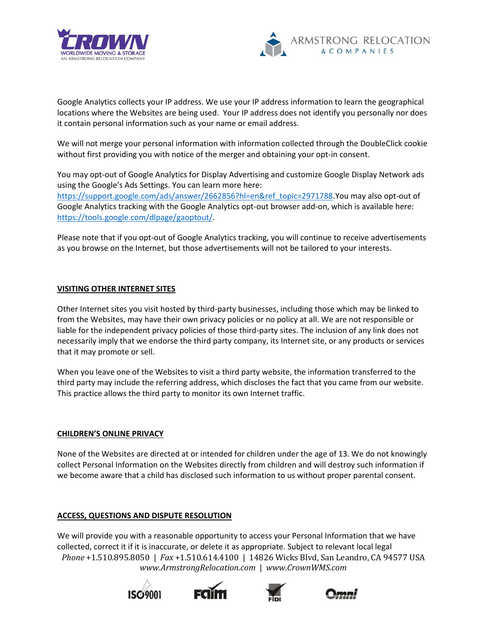



Google Analytics collects your IP address. We use your IP address information to learn the geographical locations where the Websites are being used. Your IP address does not identify you personally nor does it contain personal information such as your name or email address.

We will not merge your personal information with information collected through the DoubleClick cookie without first providing you with notice of the merger and obtaining your opt-in consent.

You may opt-out of Google Analytics for Display Advertising and customize Google Display Network ads using the Google's Ads Settings. You can learn more here: [https://support.google.com/ads/answer/2662856?hl=en&ref\\_topic=2971788.](https://support.google.com/ads/answer/2662856?hl=en&ref_topic=2971788)You may also opt-out of Google Analytics tracking with the Google Analytics opt-out browser add-on, which is available here: [https://tools.google.com/dlpage/gaoptout/.](https://tools.google.com/dlpage/gaoptout/)

Please note that if you opt-out of Google Analytics tracking, you will continue to receive advertisements as you browse on the Internet, but those advertisements will not be tailored to your interests.

## **VISITING OTHER INTERNET SITES**

Other Internet sites you visit hosted by third-party businesses, including those which may be linked to from the Websites, may have their own privacy policies or no policy at all. We are not responsible or liable for the independent privacy policies of those third-party sites. The inclusion of any link does not necessarily imply that we endorse the third party company, its Internet site, or any products or services that it may promote or sell.

When you leave one of the Websites to visit a third party website, the information transferred to the third party may include the referring address, which discloses the fact that you came from our website. This practice allows the third party to monitor its own Internet traffic.

#### **CHILDREN'S ONLINE PRIVACY**

None of the Websites are directed at or intended for children under the age of 13. We do not knowingly collect Personal Information on the Websites directly from children and will destroy such information if we become aware that a child has disclosed such information to us without proper parental consent.

## **ACCESS, QUESTIONS AND DISPUTE RESOLUTION**

*Phone* +1.510.895.8050 | *Fax* +1.510.614.4100 | 14826 Wicks Blvd, San Leandro, CA 94577 USA *www.ArmstrongRelocation.com* | *www.CrownWMS.com*  We will provide you with a reasonable opportunity to access your Personal Information that we have collected, correct it if it is inaccurate, or delete it as appropriate. Subject to relevant local legal